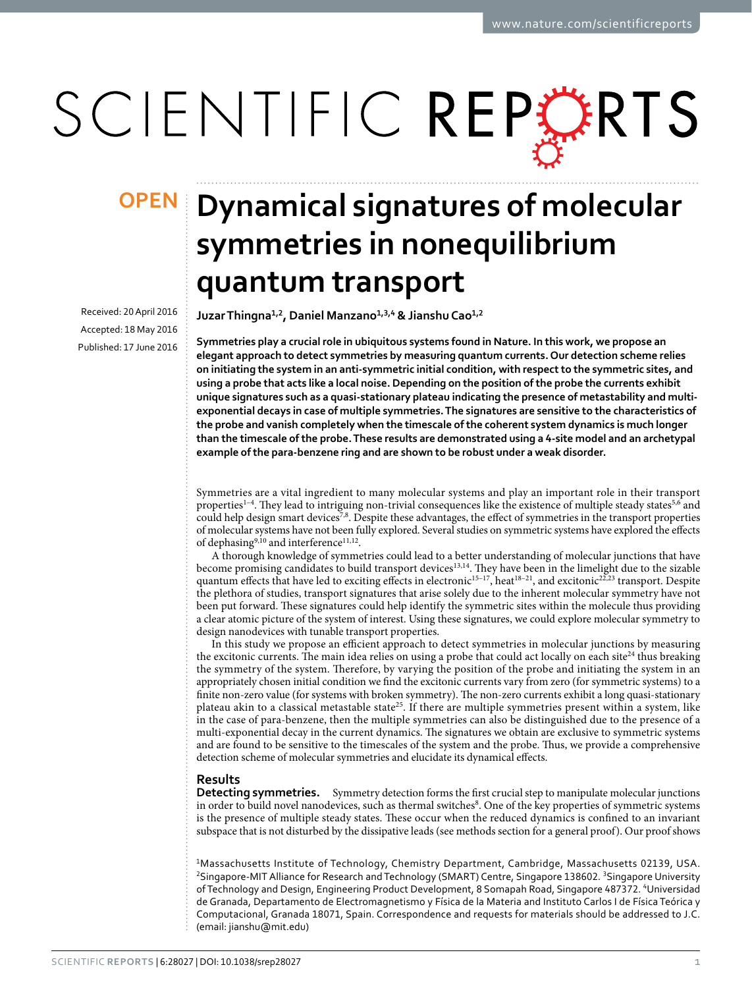# SCIENTIFIC REPERTS

Received: 20 April 2016 accepted: 18 May 2016 Published: 17 June 2016

## **Dynamical signatures of molecular OPENsymmetries in nonequilibrium quantum transport**

**JuzarThingna<sup>1</sup>,<sup>2</sup>, Daniel Manzano<sup>1</sup>,3,<sup>4</sup> & JianshuCao<sup>1</sup>,<sup>2</sup>**

**Symmetries play a crucial role in ubiquitous systems found in Nature. In this work, we propose an elegant approach to detect symmetries by measuring quantum currents. Our detection scheme relies on initiating the system in an anti-symmetric initial condition, with respect to the symmetric sites, and using a probe that acts like a local noise. Depending on the position of the probe the currents exhibit unique signatures such as a quasi-stationary plateau indicating the presence of metastability and multiexponential decays in case of multiple symmetries. The signatures are sensitive to the characteristics of the probe and vanish completely when the timescale of the coherent system dynamics is much longer than the timescale of the probe. These results are demonstrated using a 4-site model and an archetypal example of the para-benzene ring and are shown to be robust under a weak disorder.**

Symmetries are a vital ingredient to many molecular systems and play an important role in their transport properties<sup>1-4</sup>. They lead to intriguing non-trivial consequences like the existence of multiple steady states<sup>5[,6](#page-9-2)</sup> and could help design smart devices<sup>7[,8](#page-9-4)</sup>. Despite these advantages, the effect of symmetries in the transport properties of molecular systems have not been fully explored. Several studies on symmetric systems have explored the effects of dephasing<sup>9[,10](#page-9-6)</sup> and interference<sup>11,12</sup>.

A thorough knowledge of symmetries could lead to a better understanding of molecular junctions that have become promising candidates to build transport devices<sup>13,14</sup>. They have been in the limelight due to the sizable quantum effects that have led to exciting effects in electronic<sup>15-17</sup>, heat<sup>18-21</sup>, and excitonic<sup>22[,23](#page-9-14)</sup> transport. Despite the plethora of studies, transport signatures that arise solely due to the inherent molecular symmetry have not been put forward. These signatures could help identify the symmetric sites within the molecule thus providing a clear atomic picture of the system of interest. Using these signatures, we could explore molecular symmetry to design nanodevices with tunable transport properties.

In this study we propose an efficient approach to detect symmetries in molecular junctions by measuring the excitonic currents. The main idea relies on using a probe that could act locally on each site<sup>24</sup> thus breaking the symmetry of the system. Therefore, by varying the position of the probe and initiating the system in an appropriately chosen initial condition we find the excitonic currents vary from zero (for symmetric systems) to a finite non-zero value (for systems with broken symmetry). The non-zero currents exhibit a long quasi-stationary plateau akin to a classical metastable state<sup>25</sup>. If there are multiple symmetries present within a system, like in the case of para-benzene, then the multiple symmetries can also be distinguished due to the presence of a multi-exponential decay in the current dynamics. The signatures we obtain are exclusive to symmetric systems and are found to be sensitive to the timescales of the system and the probe. Thus, we provide a comprehensive detection scheme of molecular symmetries and elucidate its dynamical effects.

### **Results**

**Detecting symmetries.** Symmetry detection forms the first crucial step to manipulate molecular junctions in order to build novel nanodevices, such as thermal switches<sup>8</sup>. One of the key properties of symmetric systems is the presence of multiple steady states. These occur when the reduced dynamics is confined to an invariant subspace that is not disturbed by the dissipative leads (see methods section for a general proof). Our proof shows

1Massachusetts Institute of Technology, Chemistry Department, Cambridge, Massachusetts 02139, USA. <sup>2</sup>Singapore-MIT Alliance for Research and Technology (SMART) Centre, Singapore 138602. <sup>3</sup>Singapore University of Technology and Design, Engineering Product Development, 8 Somapah Road, Singapore 487372. 4Universidad de Granada, Departamento de Electromagnetismo y Física de la Materia and Instituto Carlos I de Física Teórica y Computacional, Granada 18071, Spain. Correspondence and requests for materials should be addressed to J.C. (email: [jianshu@mit.edu](mailto:jianshu@mit.edu))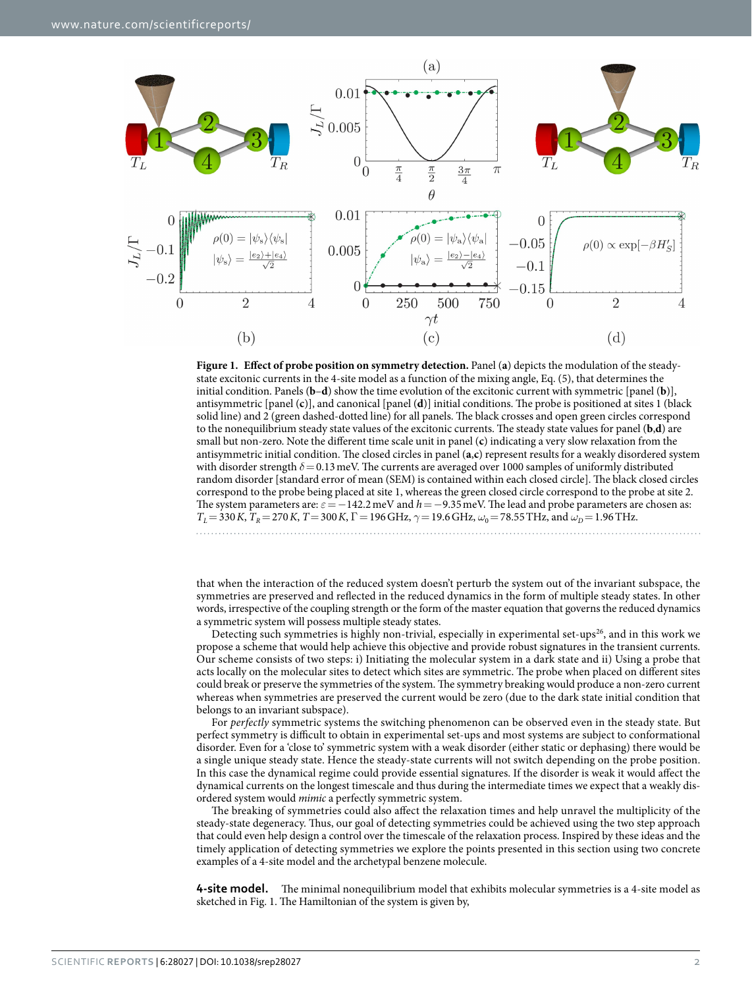

<span id="page-1-0"></span>**Figure 1. Effect of probe position on symmetry detection.** Panel (**a**) depicts the modulation of the steadystate excitonic currents in the 4-site model as a function of the mixing angle, Eq. (5), that determines the initial condition. Panels (**b**–**d**) show the time evolution of the excitonic current with symmetric [panel (**b**)], antisymmetric [panel (**c**)], and canonical [panel (**d**)] initial conditions. The probe is positioned at sites 1 (black solid line) and 2 (green dashed-dotted line) for all panels. The black crosses and open green circles correspond to the nonequilibrium steady state values of the excitonic currents. The steady state values for panel (**b**,**d**) are small but non-zero. Note the different time scale unit in panel (**c**) indicating a very slow relaxation from the antisymmetric initial condition. The closed circles in panel (**a**,**c**) represent results for a weakly disordered system with disorder strength  $\delta$  = 0.13 meV. The currents are averaged over 1000 samples of uniformly distributed random disorder [standard error of mean (SEM) is contained within each closed circle]. The black closed circles correspond to the probe being placed at site 1, whereas the green closed circle correspond to the probe at site 2. The system parameters are: *ε*=−142.2meV and *h*=−9.35meV. The lead and probe parameters are chosen as: *T*<sub>L</sub> = 330*K*, *T*<sub>R</sub> = 270*K*, *T* = 300*K*, Γ = 196 GHz,  $\gamma$  = 19.6 GHz,  $\omega$ <sub>0</sub> = 78.55 THz, and  $\omega$ <sub>D</sub> = 1.96 THz. 

that when the interaction of the reduced system doesn't perturb the system out of the invariant subspace, the symmetries are preserved and reflected in the reduced dynamics in the form of multiple steady states. In other words, irrespective of the coupling strength or the form of the master equation that governs the reduced dynamics a symmetric system will possess multiple steady states.

Detecting such symmetries is highly non-trivial, especially in experimental set-ups<sup>26</sup>, and in this work we propose a scheme that would help achieve this objective and provide robust signatures in the transient currents. Our scheme consists of two steps: i) Initiating the molecular system in a dark state and ii) Using a probe that acts locally on the molecular sites to detect which sites are symmetric. The probe when placed on different sites could break or preserve the symmetries of the system. The symmetry breaking would produce a non-zero current whereas when symmetries are preserved the current would be zero (due to the dark state initial condition that belongs to an invariant subspace).

For *perfectly* symmetric systems the switching phenomenon can be observed even in the steady state. But perfect symmetry is difficult to obtain in experimental set-ups and most systems are subject to conformational disorder. Even for a 'close to' symmetric system with a weak disorder (either static or dephasing) there would be a single unique steady state. Hence the steady-state currents will not switch depending on the probe position. In this case the dynamical regime could provide essential signatures. If the disorder is weak it would affect the dynamical currents on the longest timescale and thus during the intermediate times we expect that a weakly disordered system would *mimic* a perfectly symmetric system.

The breaking of symmetries could also affect the relaxation times and help unravel the multiplicity of the steady-state degeneracy. Thus, our goal of detecting symmetries could be achieved using the two step approach that could even help design a control over the timescale of the relaxation process. Inspired by these ideas and the timely application of detecting symmetries we explore the points presented in this section using two concrete examples of a 4-site model and the archetypal benzene molecule.

**4-site model.** The minimal nonequilibrium model that exhibits molecular symmetries is a 4-site model as sketched in [Fig. 1.](#page-1-0) The Hamiltonian of the system is given by,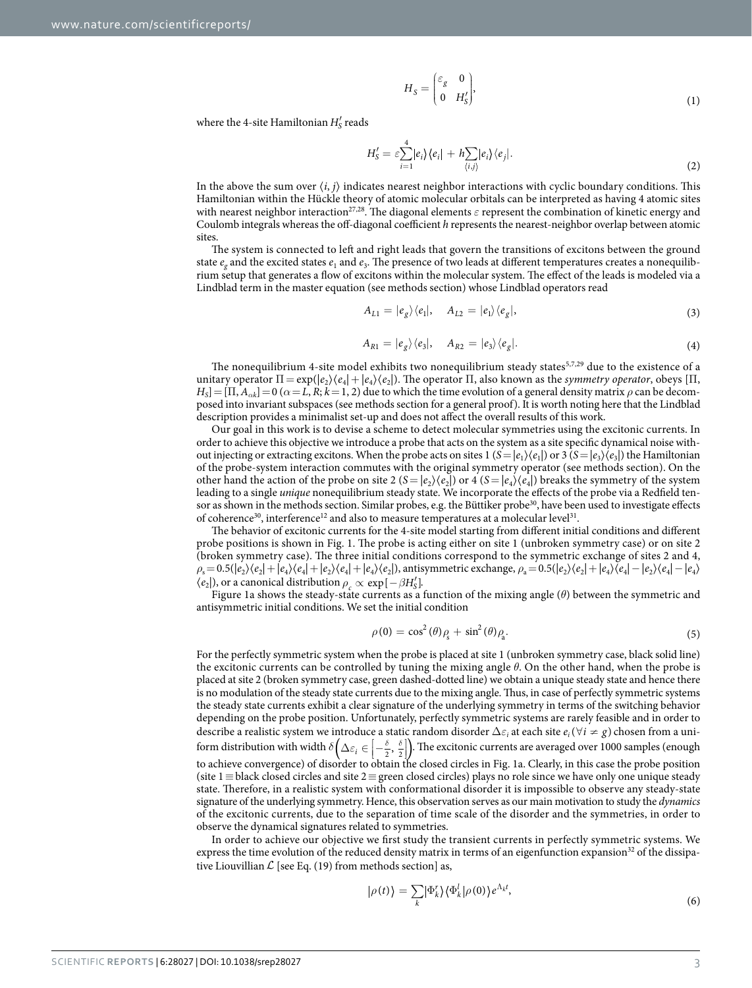$$
H_S = \begin{pmatrix} \varepsilon_g & 0 \\ 0 & H'_S \end{pmatrix},\tag{1}
$$

where the 4-site Hamiltonian  $H'_{\mathcal{S}}$  reads

$$
H'_{\mathcal{S}} = \varepsilon \sum_{i=1}^{4} |e_i\rangle\langle e_i| + h \sum_{\langle i,j \rangle} |e_i\rangle\langle e_j|.
$$
 (2)

In the above the sum over  $(i, j)$  indicates nearest neighbor interactions with cyclic boundary conditions. This Hamiltonian within the Hückle theory of atomic molecular orbitals can be interpreted as having 4 atomic sites with nearest neighbor interaction<sup>27,28</sup>. The diagonal elements *ε* represent the combination of kinetic energy and Coulomb integrals whereas the off-diagonal coefficient *h* represents the nearest-neighbor overlap between atomic sites.

The system is connected to left and right leads that govern the transitions of excitons between the ground state  $e_g$  and the excited states  $e_1$  and  $e_3$ . The presence of two leads at different temperatures creates a nonequilibrium setup that generates a flow of excitons within the molecular system. The effect of the leads is modeled via a Lindblad term in the master equation (see methods section) whose Lindblad operators read

$$
A_{L1} = |e_g\rangle\langle e_1|, \quad A_{L2} = |e_1\rangle\langle e_g|,\tag{3}
$$

$$
A_{R1} = |e_g\rangle\langle e_3|, \quad A_{R2} = |e_3\rangle\langle e_g|.
$$
 (4)

The nonequilibrium 4-site model exhibits two nonequilibrium steady states<sup>[5](#page-9-1)[,7](#page-9-3),[29](#page-9-20)</sup> due to the existence of a unitary operator  $\Pi = \exp(|e_2\rangle\langle e_4| + |e_4\rangle\langle e_2|)$ . The operator  $\Pi$ , also known as the *symmetry operator*, obeys  $\Pi$ ,  $H_S$ ] = [ $\Pi$ ,  $A_{\alpha k}$ ] = 0 ( $\alpha$  = L, R;  $k$  = 1, 2) due to which the time evolution of a general density matrix  $\rho$  can be decomposed into invariant subspaces (see methods section for a general proof). It is worth noting here that the Lindblad description provides a minimalist set-up and does not affect the overall results of this work.

Our goal in this work is to devise a scheme to detect molecular symmetries using the excitonic currents. In order to achieve this objective we introduce a probe that acts on the system as a site specific dynamical noise without injecting or extracting excitons. When the probe acts on sites  $1 (S = |e_1\rangle\langle e_1|)$  or  $3 (S = |e_3\rangle\langle e_3|)$  the Hamiltonian of the probe-system interaction commutes with the original symmetry operator (see methods section). On the other hand the action of the probe on site 2  $(S = |e_2\rangle\langle e_2|)$  or 4  $(S = |e_4\rangle\langle e_4|)$  breaks the symmetry of the system leading to a single *unique* nonequilibrium steady state. We incorporate the effects of the probe via a Redfield ten-sor as shown in the methods section. Similar probes, e.g. the Büttiker probe<sup>[30](#page-9-21)</sup>, have been used to investigate effects of coherence<sup>30</sup>, interference<sup>[12](#page-9-8)</sup> and also to measure temperatures at a molecular level<sup>31</sup>.

The behavior of excitonic currents for the 4-site model starting from different initial conditions and different probe positions is shown in [Fig. 1](#page-1-0). The probe is acting either on site 1 (unbroken symmetry case) or on site 2 (broken symmetry case). The three initial conditions correspond to the symmetric exchange of sites 2 and 4,  $\rho_s = 0.5(|e_2\rangle\langle e_2| + |e_4\rangle\langle e_4| + |e_2\rangle\langle e_4| + |e_4\rangle\langle e_2|)$ , antisymmetric exchange,  $\rho_a = 0.5(|e_2\rangle\langle e_2| + |e_4\rangle\langle e_4| - |e_2\rangle\langle e_4| - |e_4\rangle)$  $\langle e_2|$ ), or a canonical distribution  $\rho \propto \exp[-\beta H'_{\rm S}]$ .

[Figure 1a](#page-1-0) shows the steady-state currents as a function of the mixing angle (*θ*) between the symmetric and antisymmetric initial conditions. We set the initial condition

$$
\rho(0) = \cos^2(\theta)\rho_s + \sin^2(\theta)\rho_a.
$$
\n(5)

For the perfectly symmetric system when the probe is placed at site 1 (unbroken symmetry case, black solid line) the excitonic currents can be controlled by tuning the mixing angle *θ*. On the other hand, when the probe is placed at site 2 (broken symmetry case, green dashed-dotted line) we obtain a unique steady state and hence there is no modulation of the steady state currents due to the mixing angle. Thus, in case of perfectly symmetric systems the steady state currents exhibit a clear signature of the underlying symmetry in terms of the switching behavior depending on the probe position. Unfortunately, perfectly symmetric systems are rarely feasible and in order to describe a realistic system we introduce a static random disorder  $\Delta\varepsilon_i$  at each site  $e_i$  ( $\forall i\neq g$ ) chosen from a uniform distribution with width  $\delta\left(\Delta \varepsilon_i \in \left[-\frac{\delta}{2}, \frac{\delta}{2}\right]\right)$ . The excitonic currents are averaged over 1000 samples (enough l İ ļ to achieve convergence) of disorder to obtain the closed circles in [Fig. 1a](#page-1-0). Clearly, in this case the probe position (site 1≡black closed circles and site 2≡green closed circles) plays no role since we have only one unique steady state. Therefore, in a realistic system with conformational disorder it is impossible to observe any steady-state signature of the underlying symmetry. Hence, this observation serves as our main motivation to study the *dynamics* of the excitonic currents, due to the separation of time scale of the disorder and the symmetries, in order to observe the dynamical signatures related to symmetries.

In order to achieve our objective we first study the transient currents in perfectly symmetric systems. We express the time evolution of the reduced density matrix in terms of an eigenfunction expansion<sup>32</sup> of the dissipative Liouvillian  $\mathcal L$  [see Eq. (19) from methods section] as,

$$
|\rho(t)\rangle = \sum_{k} |\Phi_{k}^{r}\rangle \langle \Phi_{k}^{l} | \rho(0) \rangle e^{\Lambda_{k}t}, \tag{6}
$$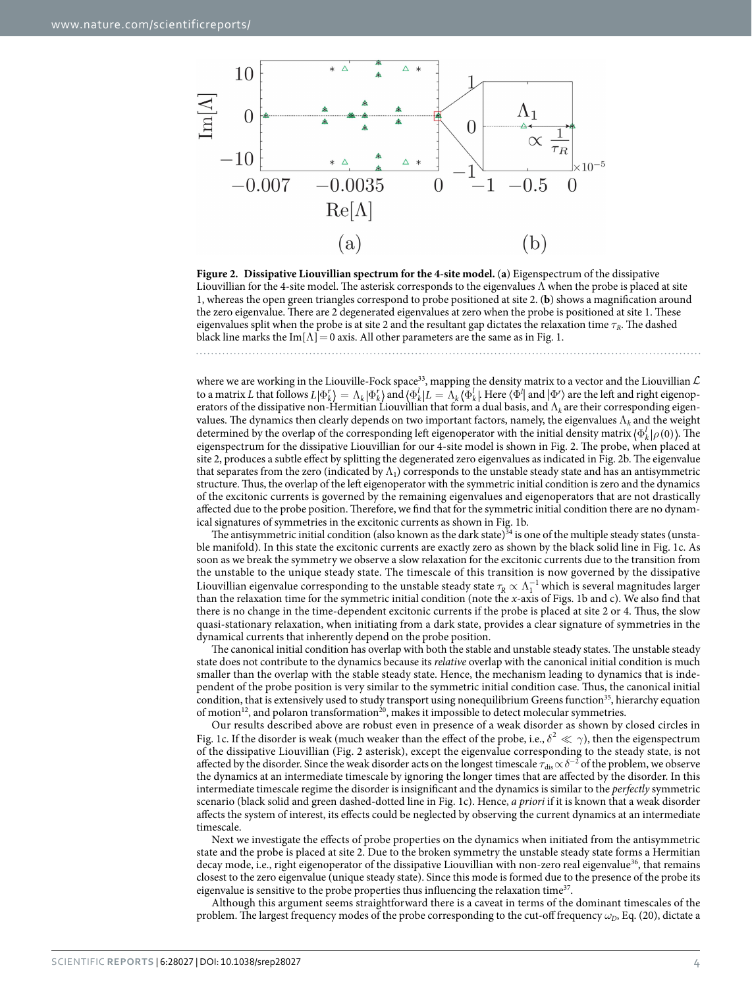

<span id="page-3-0"></span>**Figure 2. Dissipative Liouvillian spectrum for the 4-site model.** (**a**) Eigenspectrum of the dissipative Liouvillian for the 4-site model. The asterisk corresponds to the eigenvalues  $\Lambda$  when the probe is placed at site 1, whereas the open green triangles correspond to probe positioned at site 2. (**b**) shows a magnification around the zero eigenvalue. There are 2 degenerated eigenvalues at zero when the probe is positioned at site 1. These eigenvalues split when the probe is at site 2 and the resultant gap dictates the relaxation time  $\tau_R$ . The dashed black line marks the Im $[\Lambda]=0$  axis. All other parameters are the same as in [Fig. 1.](#page-1-0)

where we are working in the Liouville-Fock space $^{33}$ , mapping the density matrix to a vector and the Liouvillian  ${\cal L}$ to a matrix *L* that follows  $L | \Phi^r_k \rangle = \Lambda_k | \Phi^r_k \rangle$  and  $\langle \Phi^l_k | L = \Lambda_k \langle \Phi^l_k |$ . Here  $\langle \Phi^l |$  and  $| \Phi^r \rangle$  are the left and right eigenoperators of the dissipative non-Hermitian Liouvillian that form a dual basis, and Λ*k* are their corresponding eigenvalues. The dynamics then clearly depends on two important factors, namely, the eigenvalues Λ*k* and the weight determined by the overlap of the corresponding left eigenoperator with the initial density matrix  $\langle \Phi_k^l | \rho(0) \rangle$ . The eigenspectrum for the dissipative Liouvillian for our 4-site model is shown in [Fig. 2](#page-3-0). The probe, when placed at site 2, produces a subtle effect by splitting the degenerated zero eigenvalues as indicated in [Fig. 2b](#page-3-0). The eigenvalue that separates from the zero (indicated by  $\Lambda_1$ ) corresponds to the unstable steady state and has an antisymmetric structure. Thus, the overlap of the left eigenoperator with the symmetric initial condition is zero and the dynamics of the excitonic currents is governed by the remaining eigenvalues and eigenoperators that are not drastically affected due to the probe position. Therefore, we find that for the symmetric initial condition there are no dynamical signatures of symmetries in the excitonic currents as shown in [Fig. 1b.](#page-1-0)

The antisymmetric initial condition (also known as the dark state) $34$  is one of the multiple steady states (unstable manifold). In this state the excitonic currents are exactly zero as shown by the black solid line in [Fig. 1c](#page-1-0). As soon as we break the symmetry we observe a slow relaxation for the excitonic currents due to the transition from the unstable to the unique steady state. The timescale of this transition is now governed by the dissipative Liouvillian eigenvalue corresponding to the unstable steady state  $\tau_R\propto \Lambda_1^{-1}$  which is several magnitudes larger than the relaxation time for the symmetric initial condition (note the *x*-axis of [Figs. 1b and c\)](#page-1-0). We also find that there is no change in the time-dependent excitonic currents if the probe is placed at site 2 or 4. Thus, the slow quasi-stationary relaxation, when initiating from a dark state, provides a clear signature of symmetries in the dynamical currents that inherently depend on the probe position.

The canonical initial condition has overlap with both the stable and unstable steady states. The unstable steady state does not contribute to the dynamics because its *relative* overlap with the canonical initial condition is much smaller than the overlap with the stable steady state. Hence, the mechanism leading to dynamics that is independent of the probe position is very similar to the symmetric initial condition case. Thus, the canonical initial condition, that is extensively used to study transport using nonequilibrium Greens function<sup>35</sup>, hierarchy equation of motion<sup>12</sup>, and polaron transformation<sup>20</sup>, makes it impossible to detect molecular symmetries.

Our results described above are robust even in presence of a weak disorder as shown by closed circles in [Fig. 1c](#page-1-0). If the disorder is weak (much weaker than the effect of the probe, i.e.,  $\delta^2 \ll \gamma$ ), then the eigenspectrum of the dissipative Liouvillian ([Fig. 2](#page-3-0) asterisk), except the eigenvalue corresponding to the steady state, is not affected by the disorder. Since the weak disorder acts on the longest timescale  $\tau_{\rm dis}\propto\delta^{-2}$  of the problem, we observe the dynamics at an intermediate timescale by ignoring the longer times that are affected by the disorder. In this intermediate timescale regime the disorder is insignificant and the dynamics is similar to the *perfectly* symmetric scenario (black solid and green dashed-dotted line in [Fig. 1c\)](#page-1-0). Hence, *a priori* if it is known that a weak disorder affects the system of interest, its effects could be neglected by observing the current dynamics at an intermediate timescale.

Next we investigate the effects of probe properties on the dynamics when initiated from the antisymmetric state and the probe is placed at site 2. Due to the broken symmetry the unstable steady state forms a Hermitian decay mode, i.e., right eigenoperator of the dissipative Liouvillian with non-zero real eigenvalue<sup>[36](#page-9-28)</sup>, that remains closest to the zero eigenvalue (unique steady state). Since this mode is formed due to the presence of the probe its eigenvalue is sensitive to the probe properties thus influencing the relaxation time<sup>37</sup>.

Although this argument seems straightforward there is a caveat in terms of the dominant timescales of the problem. The largest frequency modes of the probe corresponding to the cut-off frequency  $\omega_p$ , Eq. (20), dictate a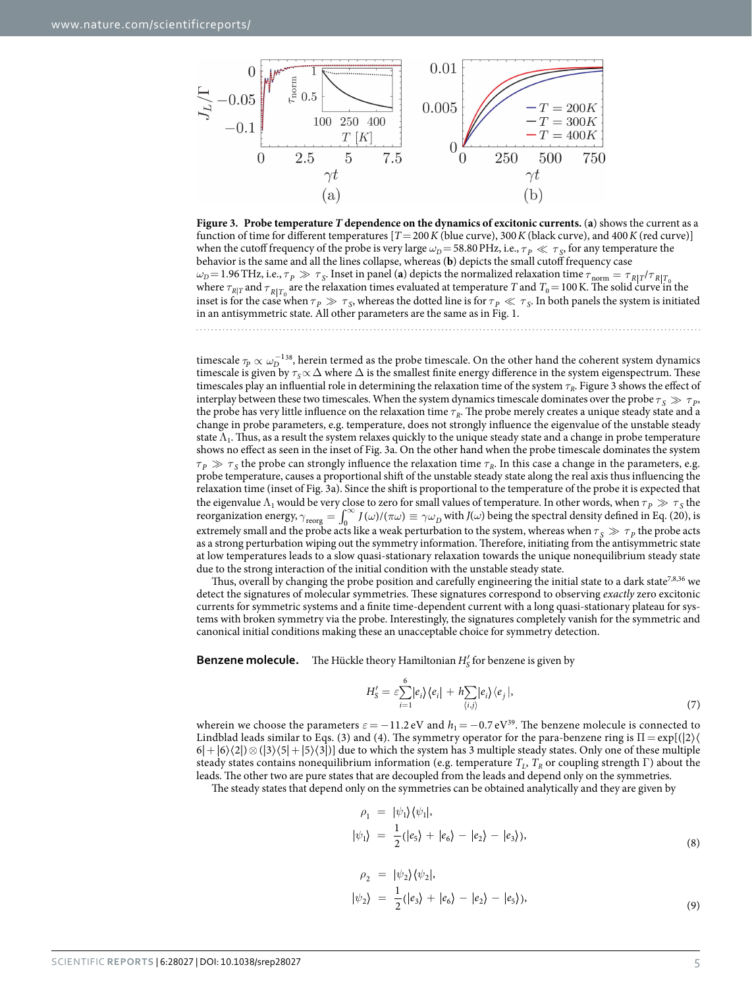

<span id="page-4-0"></span>**Figure 3. Probe temperature** *T* **dependence on the dynamics of excitonic currents.** (**a**) shows the current as a function of time for different temperatures  $[T = 200K$  (blue curve), 300*K* (black curve), and 400*K* (red curve)] when the cutoff frequency of the probe is very large  $\omega_D$ =58.80 PHz, i.e.,  $\tau_P \ll \tau_S$ , for any temperature the behavior is the same and all the lines collapse, whereas (**b**) depicts the small cutoff frequency case  $ω$ <sup>*D*</sup> = 1.96 THz, i.e.,  $τ$ <sub>*P*</sub>  $\gg$  *τ*<sub>S</sub>. Inset in panel (**a**) depicts the normalized relaxation time  $τ$ <sub>norm</sub> =  $τ$ <sub>*R*| $T$ </sub> $/τ$ <sub>*R*| $T$ </sub> where  $\tau_{R|T}$  and  $\tau_{R|T_0}$  are the relaxation times evaluated at temperature *T* and  $T_0 = 100$  K. The solid curve in the inset is for the case when  $\tau_p \gg \tau_s$ , whereas the dotted line is for  $\tau_p \ll \tau_s$ . In both panels the system is initiated in an antisymmetric state. All other parameters are the same as in [Fig. 1](#page-1-0).

timescale  $\tau_p \propto \omega_D^{-138}$ , herein termed as the probe timescale. On the other hand the coherent system dynamics timescale is given by  $\tau_s \propto \Delta$  where  $\Delta$  is the smallest finite energy difference in the system eigenspectrum. These timescales play an influential role in determining the relaxation time of the system *τR*. [Figure 3](#page-4-0) shows the effect of interplay between these two timescales. When the system dynamics timescale dominates over the probe  $\tau_s \gg \tau_p$ , the probe has very little influence on the relaxation time *τR*. The probe merely creates a unique steady state and a change in probe parameters, e.g. temperature, does not strongly influence the eigenvalue of the unstable steady state  $\Lambda_1$ . Thus, as a result the system relaxes quickly to the unique steady state and a change in probe temperature shows no effect as seen in the inset of [Fig. 3a.](#page-4-0) On the other hand when the probe timescale dominates the system  $\tau_p \gg \tau_s$  the probe can strongly influence the relaxation time  $\tau_p$ . In this case a change in the parameters, e.g. probe temperature, causes a proportional shift of the unstable steady state along the real axis thus influencing the relaxation time (inset of [Fig. 3a](#page-4-0)). Since the shift is proportional to the temperature of the probe it is expected that the eigenvalue  $\Lambda_1$  would be very close to zero for small values of temperature. In other words, when  $\tau_p \gg \tau_s$  the reorganization energy,  $\gamma_{\text{reorg}} = \int_0^\infty J(\omega) / (\pi \omega) \equiv \gamma \omega_D$  with  $J(\omega)$  being the spectral density defined in Eq. (20), is extremely small and the probe acts like a weak perturbation to the system, whereas when  $\tau_s \gg \tau_p$  the probe acts as a strong perturbation wiping out the symmetry information. Therefore, initiating from the antisymmetric state at low temperatures leads to a slow quasi-stationary relaxation towards the unique nonequilibrium steady state due to the strong interaction of the initial condition with the unstable steady state.

Thus, overall by changing the probe position and carefully engineering the initial state to a dark state<sup>[7,](#page-9-3)[8,](#page-9-4)36</sup> we detect the signatures of molecular symmetries. These signatures correspond to observing *exactly* zero excitonic currents for symmetric systems and a finite time-dependent current with a long quasi-stationary plateau for systems with broken symmetry via the probe. Interestingly, the signatures completely vanish for the symmetric and canonical initial conditions making these an unacceptable choice for symmetry detection.

**Benzene molecule.** The Hückle theory Hamiltonian  $H'_{S}$  for benzene is given by

6

$$
H'_{\mathcal{S}} = \varepsilon \sum_{i=1}^{N} |e_i\rangle\langle e_i| + h \sum_{\langle i,j\rangle} |e_i\rangle\langle e_j|,\tag{7}
$$

wherein we choose the parameters  $\varepsilon = -11.2$  eV and  $h_1 = -0.7$  eV<sup>39</sup>. The benzene molecule is connected to Lindblad leads similar to Eqs. (3) and (4). The symmetry operator for the para-benzene ring is  $\Pi = \exp[(2)(\sqrt{2})]$  $6|+|6\rangle\langle 2| \otimes (|3\rangle\langle 5|+|5\rangle\langle 3|)$  due to which the system has 3 multiple steady states. Only one of these multiple steady states contains nonequilibrium information (e.g. temperature  $T_L$ ,  $T_R$  or coupling strength Γ) about the leads. The other two are pure states that are decoupled from the leads and depend only on the symmetries.

The steady states that depend only on the symmetries can be obtained analytically and they are given by

$$
\rho_1 = |\psi_1\rangle \langle \psi_1|,
$$
  

$$
|\psi_1\rangle = \frac{1}{2} (|e_5\rangle + |e_6\rangle - |e_2\rangle - |e_3\rangle),
$$
 (8)

$$
\rho_2 = |\psi_2\rangle\langle\psi_2|,
$$
  

$$
|\psi_2\rangle = \frac{1}{2}(|e_3\rangle + |e_6\rangle - |e_2\rangle - |e_5\rangle),
$$
 (9)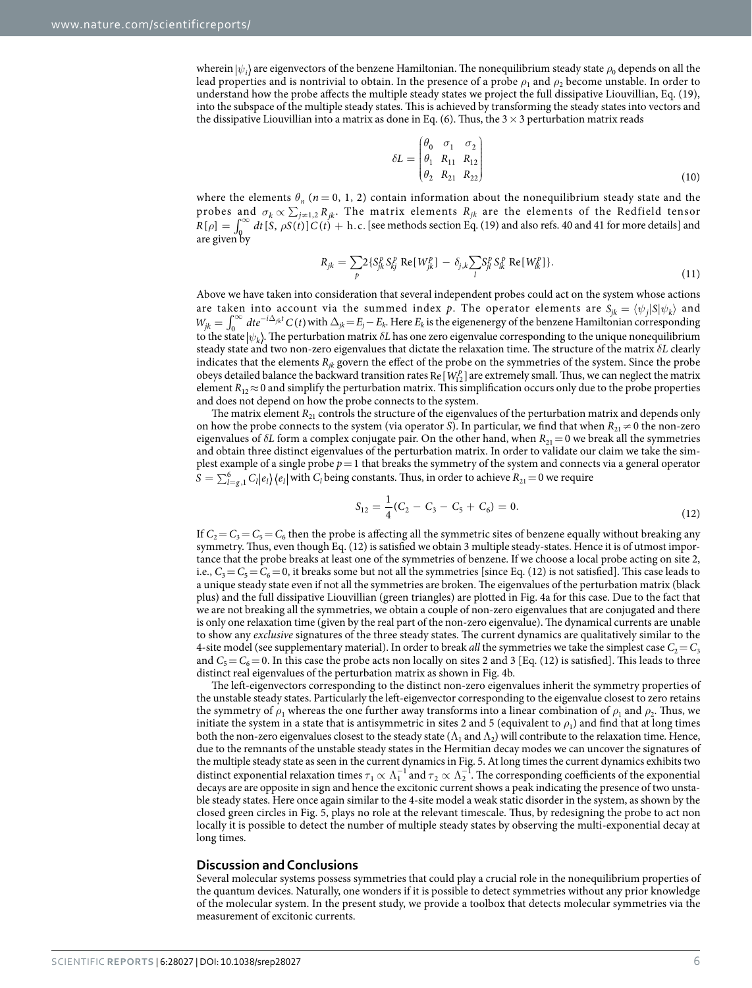wherein  $|\psi_i\rangle$  are eigenvectors of the benzene Hamiltonian. The nonequilibrium steady state  $\rho_0$  depends on all the lead properties and is nontrivial to obtain. In the presence of a probe  $\rho_1$  and  $\rho_2$  become unstable. In order to understand how the probe affects the multiple steady states we project the full dissipative Liouvillian, Eq. (19), into the subspace of the multiple steady states. This is achieved by transforming the steady states into vectors and the dissipative Liouvillian into a matrix as done in Eq. (6). Thus, the  $3 \times 3$  perturbation matrix reads

$$
\delta L = \begin{pmatrix} \theta_0 & \sigma_1 & \sigma_2 \\ \theta_1 & R_{11} & R_{12} \\ \theta_2 & R_{21} & R_{22} \end{pmatrix}
$$
 (10)

where the elements  $\theta_n$  ( $n = 0, 1, 2$ ) contain information about the nonequilibrium steady state and the probes and  $\sigma_k \propto \sum_{j=1,2} R_{jk}$ . The matrix elements  $R_{jk}$  are the elements of the Redfield tensor  $R[\rho] = \int_0^\infty dt [S, \rho S(t)] C(t) + h.c.$  [see methods section Eq. (19) and also [refs. 40](#page-9-32) and [41](#page-9-33) for more details] and are given by

$$
R_{jk} = \sum_{p} 2 \{ S_{jk}^{p} S_{kj}^{p} \text{ Re}[W_{jk}^{p}] - \delta_{j,k} \sum_{l} S_{jl}^{p} S_{lk}^{p} \text{ Re}[W_{lk}^{p}] \}.
$$
\n(11)

Above we have taken into consideration that several independent probes could act on the system whose actions are taken into account via the summed index p. The operator elements are  $S_{jk} = \langle \psi_j | S | \psi_k \rangle$  and  $W_{jk} = \int_0^\infty dt e^{-i\Delta_{jk}t} C(t)$  with  $\Delta_{jk} = E_j - E_k$ . Here  $E_k$  is the eigenenergy of the benzene Hamiltonian corresponding to the state  $|\psi_k\rangle$ . The perturbation matrix  $\delta L$  has one zero eigenvalue corresponding to the unique nonequilibrium steady state and two non-zero eigenvalues that dictate the relaxation time. The structure of the matrix *δL* clearly indicates that the elements *Rjk* govern the effect of the probe on the symmetries of the system. Since the probe obeys detailed balance the backward transition rates Re  $[W_1^p]$  are extremely small. Thus, we can neglect the matrix element  $R_{12} \approx 0$  and simplify the perturbation matrix. This simplification occurs only due to the probe properties and does not depend on how the probe connects to the system.

The matrix element  $R_{21}$  controls the structure of the eigenvalues of the perturbation matrix and depends only on how the probe connects to the system (via operator *S*). In particular, we find that when  $R_{21} \neq 0$  the non-zero eigenvalues of  $\delta L$  form a complex conjugate pair. On the other hand, when  $R_{21}=0$  we break all the symmetries and obtain three distinct eigenvalues of the perturbation matrix. In order to validate our claim we take the simplest example of a single probe  $p=1$  that breaks the symmetry of the system and connects via a general operator  $S = \sum_{l=g,1}^6 C_l |e_l\rangle\langle e_l|$  with  $C_l$  being constants. Thus, in order to achieve  $R_{21}=0$  we require

$$
S_{12} = \frac{1}{4}(C_2 - C_3 - C_5 + C_6) = 0.
$$
\n(12)

If  $C_2 = C_3 = C_5 = C_6$  then the probe is affecting all the symmetric sites of benzene equally without breaking any symmetry. Thus, even though Eq. (12) is satisfied we obtain 3 multiple steady-states. Hence it is of utmost importance that the probe breaks at least one of the symmetries of benzene. If we choose a local probe acting on site 2, i.e.,  $C_3 = C_5 = C_6 = 0$ , it breaks some but not all the symmetries [since Eq. (12) is not satisfied]. This case leads to a unique steady state even if not all the symmetries are broken. The eigenvalues of the perturbation matrix (black plus) and the full dissipative Liouvillian (green triangles) are plotted in [Fig. 4a](#page-6-0) for this case. Due to the fact that we are not breaking all the symmetries, we obtain a couple of non-zero eigenvalues that are conjugated and there is only one relaxation time (given by the real part of the non-zero eigenvalue). The dynamical currents are unable to show any *exclusive* signatures of the three steady states. The current dynamics are qualitatively similar to the 4-site model (see supplementary material). In order to break *all* the symmetries we take the simplest case  $C_2 = C_3$ and  $C_5 = C_6 = 0$ . In this case the probe acts non locally on sites 2 and 3 [Eq. (12) is satisfied]. This leads to three distinct real eigenvalues of the perturbation matrix as shown in [Fig. 4b](#page-6-0).

The left-eigenvectors corresponding to the distinct non-zero eigenvalues inherit the symmetry properties of the unstable steady states. Particularly the left-eigenvector corresponding to the eigenvalue closest to zero retains the symmetry of  $\rho_1$  whereas the one further away transforms into a linear combination of  $\rho_1$  and  $\rho_2$ . Thus, we initiate the system in a state that is antisymmetric in sites 2 and 5 (equivalent to  $\rho_1$ ) and find that at long times both the non-zero eigenvalues closest to the steady state  $(\Lambda_1$  and  $\Lambda_2)$  will contribute to the relaxation time. Hence, due to the remnants of the unstable steady states in the Hermitian decay modes we can uncover the signatures of the multiple steady state as seen in the current dynamics in [Fig. 5](#page-6-1). At long times the current dynamics exhibits two distinct exponential relaxation times  $\tau_1 \propto \Lambda_1^{-1}$  and  $\tau_2 \propto \Lambda_2^{-1}$ . The corresponding coefficients of the exponential decays are are opposite in sign and hence the excitonic current shows a peak indicating the presence of two unstable steady states. Here once again similar to the 4-site model a weak static disorder in the system, as shown by the closed green circles in [Fig. 5](#page-6-1), plays no role at the relevant timescale. Thus, by redesigning the probe to act non locally it is possible to detect the number of multiple steady states by observing the multi-exponential decay at long times.

#### **Discussion and Conclusions**

Several molecular systems possess symmetries that could play a crucial role in the nonequilibrium properties of the quantum devices. Naturally, one wonders if it is possible to detect symmetries without any prior knowledge of the molecular system. In the present study, we provide a toolbox that detects molecular symmetries via the measurement of excitonic currents.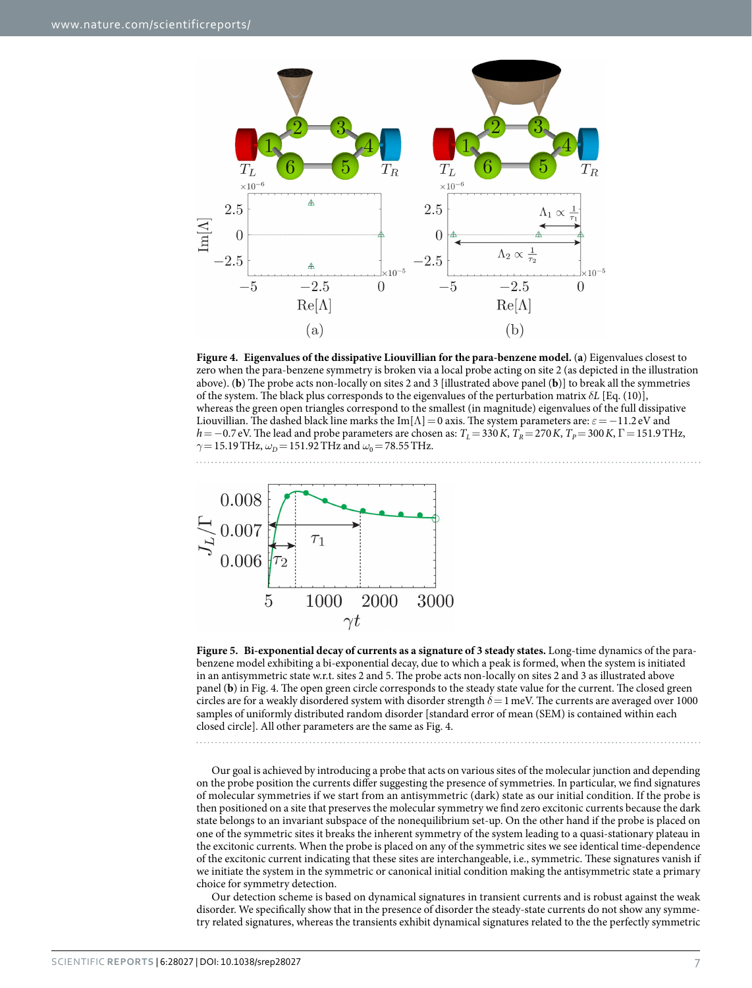

<span id="page-6-0"></span>**Figure 4. Eigenvalues of the dissipative Liouvillian for the para-benzene model.** (**a**) Eigenvalues closest to zero when the para-benzene symmetry is broken via a local probe acting on site 2 (as depicted in the illustration above). (**b**) The probe acts non-locally on sites 2 and 3 [illustrated above panel (**b**)] to break all the symmetries of the system. The black plus corresponds to the eigenvalues of the perturbation matrix *δL* [Eq. (10)], whereas the green open triangles correspond to the smallest (in magnitude) eigenvalues of the full dissipative Liouvillian. The dashed black line marks the Im[Λ]=0 axis. The system parameters are: *ε*=−11.2 eV and *h*=−0.7 eV. The lead and probe parameters are chosen as:  $T_L$ =330*K*,  $T_R$ =270*K*,  $T_p$ =300*K*,  $\Gamma$ =151.9THz, *γ*=15.19THz,  $ω<sub>D</sub>$  = 151.92 THz and  $ω<sub>0</sub>$  = 78.55 THz.



<span id="page-6-1"></span>**Figure 5. Bi-exponential decay of currents as a signature of 3 steady states.** Long-time dynamics of the parabenzene model exhibiting a bi-exponential decay, due to which a peak is formed, when the system is initiated in an antisymmetric state w.r.t. sites 2 and 5. The probe acts non-locally on sites 2 and 3 as illustrated above panel (**b**) in [Fig. 4.](#page-6-0) The open green circle corresponds to the steady state value for the current. The closed green circles are for a weakly disordered system with disorder strength *δ*=1meV. The currents are averaged over 1000 samples of uniformly distributed random disorder [standard error of mean (SEM) is contained within each closed circle]. All other parameters are the same as [Fig. 4.](#page-6-0)

Our goal is achieved by introducing a probe that acts on various sites of the molecular junction and depending on the probe position the currents differ suggesting the presence of symmetries. In particular, we find signatures of molecular symmetries if we start from an antisymmetric (dark) state as our initial condition. If the probe is then positioned on a site that preserves the molecular symmetry we find zero excitonic currents because the dark state belongs to an invariant subspace of the nonequilibrium set-up. On the other hand if the probe is placed on one of the symmetric sites it breaks the inherent symmetry of the system leading to a quasi-stationary plateau in the excitonic currents. When the probe is placed on any of the symmetric sites we see identical time-dependence of the excitonic current indicating that these sites are interchangeable, i.e., symmetric. These signatures vanish if we initiate the system in the symmetric or canonical initial condition making the antisymmetric state a primary choice for symmetry detection.

Our detection scheme is based on dynamical signatures in transient currents and is robust against the weak disorder. We specifically show that in the presence of disorder the steady-state currents do not show any symmetry related signatures, whereas the transients exhibit dynamical signatures related to the the perfectly symmetric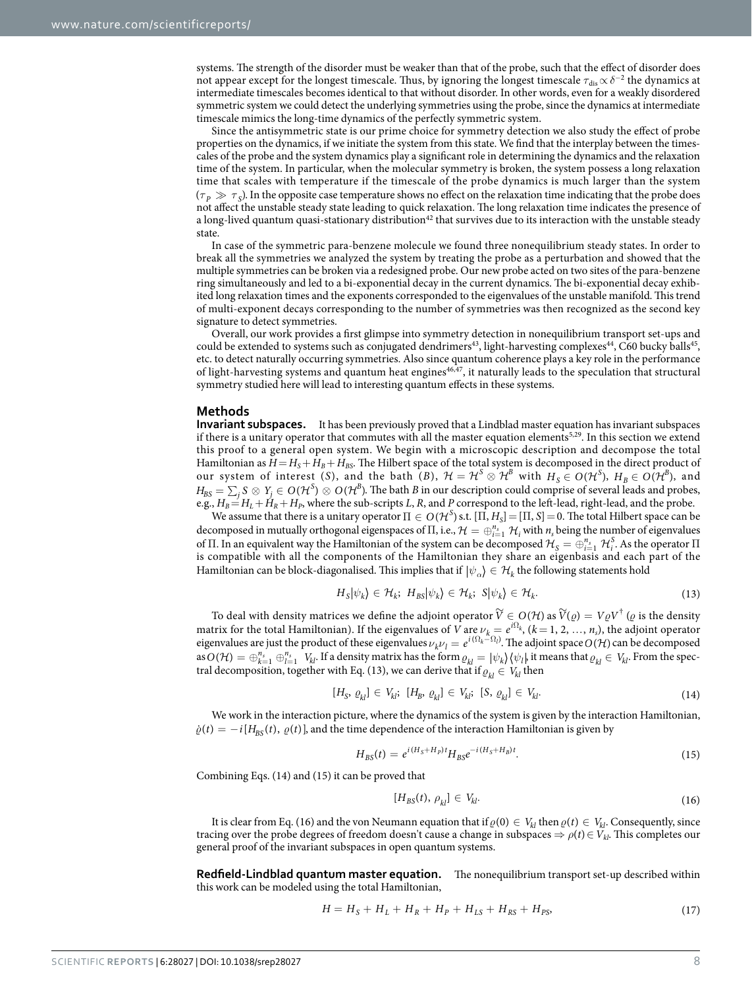systems. The strength of the disorder must be weaker than that of the probe, such that the effect of disorder does not appear except for the longest timescale. Thus, by ignoring the longest timescale  $\tau_{\rm dis}\!\propto\!\delta^{-2}$  the dynamics at intermediate timescales becomes identical to that without disorder. In other words, even for a weakly disordered symmetric system we could detect the underlying symmetries using the probe, since the dynamics at intermediate timescale mimics the long-time dynamics of the perfectly symmetric system.

Since the antisymmetric state is our prime choice for symmetry detection we also study the effect of probe properties on the dynamics, if we initiate the system from this state. We find that the interplay between the timescales of the probe and the system dynamics play a significant role in determining the dynamics and the relaxation time of the system. In particular, when the molecular symmetry is broken, the system possess a long relaxation time that scales with temperature if the timescale of the probe dynamics is much larger than the system  $(\tau_p \gg \tau_s)$ . In the opposite case temperature shows no effect on the relaxation time indicating that the probe does not affect the unstable steady state leading to quick relaxation. The long relaxation time indicates the presence of a long-lived quantum quasi-stationary distribution<sup>42</sup> that survives due to its interaction with the unstable steady state.

In case of the symmetric para-benzene molecule we found three nonequilibrium steady states. In order to break all the symmetries we analyzed the system by treating the probe as a perturbation and showed that the multiple symmetries can be broken via a redesigned probe. Our new probe acted on two sites of the para-benzene ring simultaneously and led to a bi-exponential decay in the current dynamics. The bi-exponential decay exhibited long relaxation times and the exponents corresponded to the eigenvalues of the unstable manifold. This trend of multi-exponent decays corresponding to the number of symmetries was then recognized as the second key signature to detect symmetries.

Overall, our work provides a first glimpse into symmetry detection in nonequilibrium transport set-ups and could be extended to systems such as conjugated dendrimers<sup>[43](#page-9-35)</sup>, light-harvesting complexes<sup>44</sup>, C60 bucky balls<sup>45</sup>, etc. to detect naturally occurring symmetries. Also since quantum coherence plays a key role in the performance of light-harvesting systems and quantum heat engines $46,47$  $46,47$ , it naturally leads to the speculation that structural symmetry studied here will lead to interesting quantum effects in these systems.

#### **Methods**

**Invariant subspaces.** It has been previously proved that a Lindblad master equation has invariant subspaces if there is a unitary operator that commutes with all the master equation elements<sup>[5,](#page-9-1)29</sup>. In this section we extend this proof to a general open system. We begin with a microscopic description and decompose the total Hamiltonian as  $H = H_S + H_B + H_{BS}$ . The Hilbert space of the total system is decomposed in the direct product of our system of interest (*S*), and the bath (*B*),  $\mathcal{H} = \mathcal{H}^S \otimes \mathcal{H}^B$  with  $H_S \in O(\mathcal{H}^S)$ ,  $H_B \in O(\mathcal{H}^B)$ , and  $H_{BS} = \sum_j S_j \otimes Y_j \in O(\mathcal{H}^S) \otimes O(\mathcal{H}^B)$ . The bath *B* in our description could comprise of several leads and probes,  $e.g.,  $H_B = H_L + H_R + H_P$ , where the sub-scripts *L*, *R*, and *P* correspond to the left-lead, right-lead, and the probe.$ 

We assume that there is a unitary operator  $\Pi \in O(\mathcal{H}^S)$  s.t.  $[\Pi, H_S] = [\Pi, S] = 0$ . The total Hilbert space can be decomposed in mutually orthogonal eigenspaces of  $\Pi$ , i.e.,  $\mathcal{H} = \bigoplus_{i=1}^{n_s} \mathcal{H}_i$  with  $n_s$  being the number of eigenvalues of Π. In an equivalent way the Hamiltonian of the system can be decomposed  $\mathcal{H}_S = \bigoplus_{i=1}^{n_s} \mathcal{H}_i^S$ . As the operator Π is compatible with all the components of the Hamiltonian they share an eigenbasis and each part of the Hamiltonian can be block-diagonalised. This implies that if  $|\psi_{\alpha}\rangle \in \mathcal{H}_k$  the following statements hold

$$
H_{\mathcal{S}}|\psi_{k}\rangle \in \mathcal{H}_{k}; \ H_{\mathcal{B}\mathcal{S}}|\psi_{k}\rangle \in \mathcal{H}_{k}; \ \mathcal{S}|\psi_{k}\rangle \in \mathcal{H}_{k}.\tag{13}
$$

To deal with density matrices we define the adjoint operator  $\widetilde{V}\in O(\mathcal{H})$  as  $\widetilde{V}(\varrho)=V\varrho V^{\dagger}$  ( $\varrho$  is the density matrix for the total Hamiltonian). If the eigenvalues of *V* are  $\nu_k = e^{i\Omega_k}$ , ( $k = 1, 2, ..., n_s$ ), the adjoint operator eigenvalues are just the product of these eigenvalues  $\nu_k \nu_l = e^{i(\Omega_k - \Omega_l)}$ . The adjoint space  $O(H)$  can be decomposed as  $O(\mathcal{H}) = \bigoplus_{k=1}^{n_s} \bigoplus_{l=1}^{n_s} V_{kl}$ . If a density matrix has the form  $\varrho_{kl} = |\psi_k\rangle \langle \psi_l|$ , it means that  $\varrho_{kl} \in V_{kl}$ . From the spectral decomposition, together with Eq. (13), we can derive that if  $\rho_{kl} \in V_{kl}$  then

$$
[H_S, \varrho_{kl}] \in V_{kl}; \ [H_B, \varrho_{kl}] \in V_{kl}; \ [S, \varrho_{kl}] \in V_{kl}.
$$

We work in the interaction picture, where the dynamics of the system is given by the interaction Hamiltonian,  $\dot{\varrho}(t) = -i[H_{BS}(t), \varrho(t)]$ , and the time dependence of the interaction Hamiltonian is given by

$$
H_{BS}(t) = e^{i(H_S + H_p)t} H_{BS} e^{-i(H_S + H_p)t}.
$$
\n(15)

Combining Eqs. (14) and (15) it can be proved that

$$
[H_{BS}(t), \rho_{kl}] \in V_{kl}.\tag{16}
$$

It is clear from Eq. (16) and the von Neumann equation that if  $\varrho(0) \in V_{kl}$  then  $\varrho(t) \in V_{kl}$ . Consequently, since tracing over the probe degrees of freedom doesn't cause a change in subspaces  $\Rightarrow \rho(t) \in V_{kl}$ . This completes our general proof of the invariant subspaces in open quantum systems.

**Redfield-Lindblad quantum master equation.** The nonequilibrium transport set-up described within this work can be modeled using the total Hamiltonian,

$$
H = H_S + H_L + H_R + H_P + H_{LS} + H_{RS} + H_{PS},
$$
\n(17)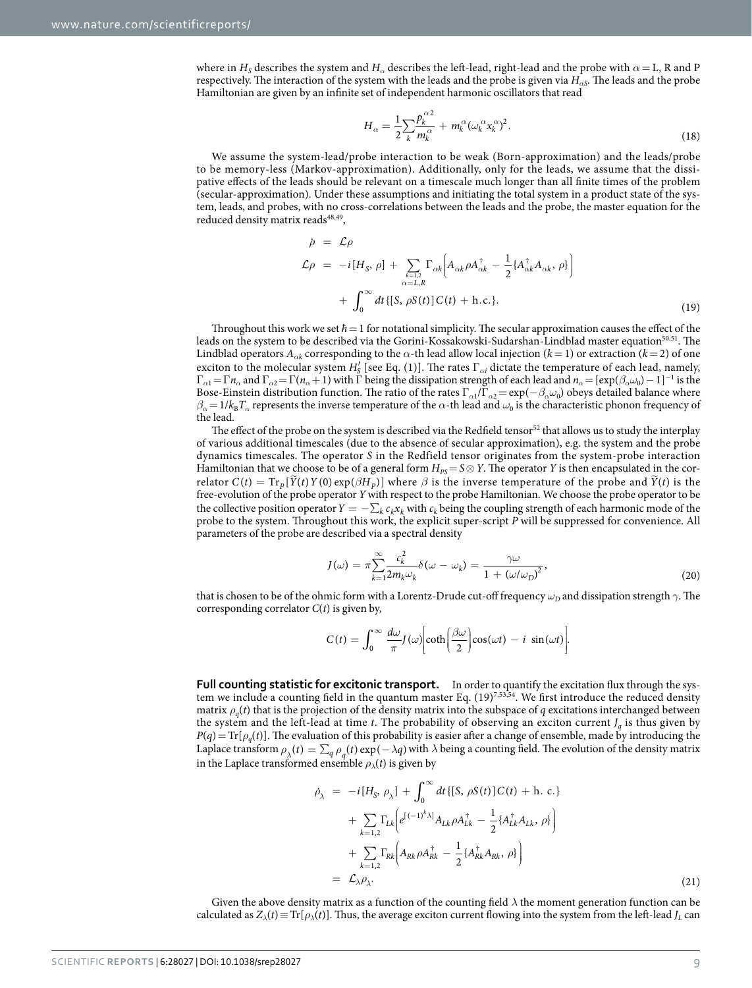where in  $H_S$  describes the system and  $H_\alpha$  describes the left-lead, right-lead and the probe with  $\alpha = L$ , R and P respectively. The interaction of the system with the leads and the probe is given via *H<sup>α</sup>S*. The leads and the probe Hamiltonian are given by an infinite set of independent harmonic oscillators that read

$$
H_{\alpha} = \frac{1}{2} \sum_{k} \frac{p_k^{\alpha 2}}{m_k^{\alpha}} + m_k^{\alpha} (\omega_k^{\alpha} x_k^{\alpha})^2.
$$
 (18)

We assume the system-lead/probe interaction to be weak (Born-approximation) and the leads/probe to be memory-less (Markov-approximation). Additionally, only for the leads, we assume that the dissipative effects of the leads should be relevant on a timescale much longer than all finite times of the problem (secular-approximation). Under these assumptions and initiating the total system in a product state of the system, leads, and probes, with no cross-correlations between the leads and the probe, the master equation for the reduced density matrix reads<sup>48,49</sup>,

$$
\dot{\rho} = \mathcal{L}\rho
$$
\n
$$
\mathcal{L}\rho = -i[H_S, \rho] + \sum_{\substack{k=1,2 \ \alpha=L,R}} \Gamma_{\alpha k} \Big( A_{\alpha k} \rho A_{\alpha k}^{\dagger} - \frac{1}{2} \{ A_{\alpha k}^{\dagger} A_{\alpha k}, \rho \} \Big)
$$
\n
$$
+ \int_0^{\infty} dt \{ [S, \rho S(t)] C(t) + \text{h.c.} \}.
$$
\n(19)

Throughout this work we set  $\hbar = 1$  for notational simplicity. The secular approximation causes the effect of the leads on the system to be described via the Gorini-Kossakowski-Sudarshan-Lindblad master equation<sup>50[,51](#page-10-6)</sup>. The Lindblad operators  $A_{\alpha k}$  corresponding to the  $\alpha$ -th lead allow local injection ( $k=1$ ) or extraction ( $k=2$ ) of one exciton to the molecular system  $H'_{\underline{S}}$  [see Eq. (1)]. The rates  $\Gamma_{\alpha i}$  dictate the temperature of each lead, namely,  $\Gamma_{\alpha 1} = \Gamma n_\alpha$  and  $\Gamma_{\alpha 2} = \Gamma(n_\alpha + 1)$  with  $\Gamma$  being the dissipation strength of each lead and  $n_\alpha = [\exp(\beta_\alpha \omega_0) - 1]^{-1}$  is the Bose-Einstein distribution function. The ratio of the rates  $\Gamma_{\alpha 1}/\Gamma_{\alpha 2} = \exp(-\beta_{\alpha}\omega_0)$  obeys detailed balance where  $\beta_\alpha = 1/k_B T_\alpha$  represents the inverse temperature of the  $\alpha$ -th lead and  $\omega_0$  is the characteristic phonon frequency of the lead.

The effect of the probe on the system is described via the Redfield tensor<sup>52</sup> that allows us to study the interplay of various additional timescales (due to the absence of secular approximation), e.g. the system and the probe dynamics timescales. The operator *S* in the Redfield tensor originates from the system-probe interaction Hamiltonian that we choose to be of a general form  $H_{PS} = S \otimes Y$ . The operator *Y* is then encapsulated in the correlator  $C(t) = Tr_p[\widetilde{Y}(t)Y(0) \exp(\beta H_p)]$  where  $\beta$  is the inverse temperature of the probe and  $\widetilde{Y}(t)$  is the free-evolution of the probe operator *Y* with respect to the probe Hamiltonian. We choose the probe operator to be the collective position operator  $Y = -\sum_k c_k x_k$  with  $c_k$  being the coupling strength of each harmonic mode of the probe to the system. Throughout this work, the explicit super-script *P* will be suppressed for convenience. All parameters of the probe are described via a spectral density

$$
J(\omega) = \pi \sum_{k=1}^{\infty} \frac{c_k^2}{2m_k \omega_k} \delta(\omega - \omega_k) = \frac{\gamma \omega}{1 + (\omega/\omega_D)^2},\tag{20}
$$

that is chosen to be of the ohmic form with a Lorentz-Drude cut-off frequency  $\omega_D$  and dissipation strength  $\gamma$ . The corresponding correlator *C*(*t*) is given by,

$$
C(t) = \int_0^\infty \frac{d\omega}{\pi} J(\omega) \bigg[ \coth\bigg(\frac{\beta\omega}{2}\bigg) \cos(\omega t) - i \sin(\omega t) \bigg].
$$

**Full counting statistic for excitonic transport.** In order to quantify the excitation flux through the sys-tem we include a counting field in the quantum master Eq. (19)<sup>[7](#page-9-3)[,53](#page-10-8)[,54](#page-10-9)</sup>. We first introduce the reduced density matrix  $\rho_q(t)$  that is the projection of the density matrix into the subspace of *q* excitations interchanged between the system and the left-lead at time  $t$ . The probability of observing an exciton current  $J_q$  is thus given by  $P(q) = \text{Tr}[\rho_q(t)]$ . The evaluation of this probability is easier after a change of ensemble, made by introducing the Laplace transform  $\rho_{\lambda}(t) = \sum_{q} \rho_{q}(t) \exp(-\lambda q)$  with  $\lambda$  being a counting field. The evolution of the density matrix in the Laplace transformed ensemble  $\rho_{\lambda}(t)$  is given by

$$
\rho_{\lambda} = -i[H_{S}, \rho_{\lambda}] + \int_{0}^{\infty} dt \{ [S, \rho S(t)] C(t) + h.c. \} \n+ \sum_{k=1,2} \Gamma_{Lk} \Big( e^{[(-1)^{k} \lambda]} A_{Lk} \rho A_{Lk}^{\dagger} - \frac{1}{2} \{ A_{Lk}^{\dagger} A_{Lk}, \rho \} \Big) \n+ \sum_{k=1,2} \Gamma_{Rk} \Big( A_{Rk} \rho A_{Rk}^{\dagger} - \frac{1}{2} \{ A_{Rk}^{\dagger} A_{Rk}, \rho \} \Big) \n= \mathcal{L}_{\lambda} \rho_{\lambda}.
$$
\n(21)

Given the above density matrix as a function of the counting field *λ* the moment generation function can be calculated as  $Z_{\lambda}(t) \equiv \text{Tr}[\rho_{\lambda}(t)]$ . Thus, the average exciton current flowing into the system from the left-lead  $J_{L}$  can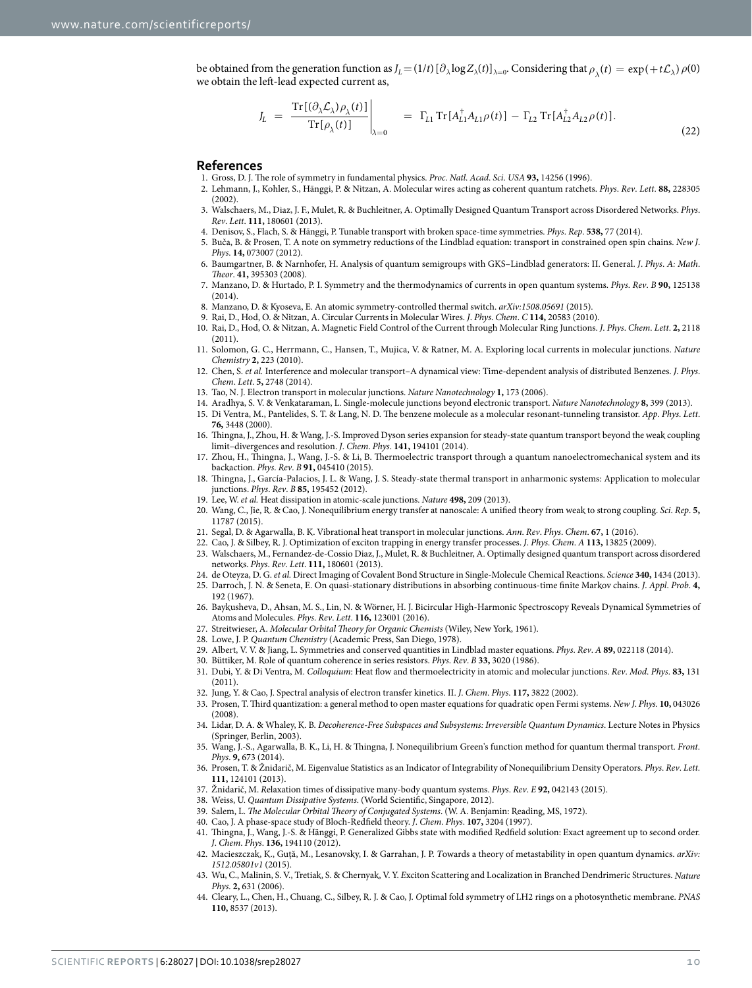be obtained from the generation function as  $J_L = (1/t) [\partial_\lambda \log Z_\lambda(t)]_{\lambda=0}$ . Considering that  $\rho_\lambda(t) = \exp(+t\mathcal{L}_\lambda)\rho(0)$ we obtain the left-lead expected current as,

$$
J_L = \frac{\text{Tr}[(\partial_{\lambda} \mathcal{L}_{\lambda}) \rho_{\lambda}(t)]}{\text{Tr}[\rho_{\lambda}(t)]} \Big|_{\lambda=0} = \Gamma_{L1} \text{Tr}[A_{L1}^{\dagger} A_{L1} \rho(t)] - \Gamma_{L2} \text{Tr}[A_{L2}^{\dagger} A_{L2} \rho(t)]. \tag{22}
$$

#### **References**

- 1. Gross, D. J. The role of symmetry in fundamental physics. *Proc*. *Natl*. *Acad*. *Sci*. *USA* **93,** 14256 (1996).
- <span id="page-9-0"></span>2. Lehmann, J., Kohler, S., Hänggi, P. & Nitzan, A. Molecular wires acting as coherent quantum ratchets. *Phys*. *Rev*. *Lett*. **88,** 228305 (2002).
- 3. Walschaers, M., Diaz, J. F., Mulet, R. & Buchleitner, A. Optimally Designed Quantum Transport across Disordered Networks. *Phys*. *Rev*. *Lett*. **111,** 180601 (2013).
- 4. Denisov, S., Flach, S. & Hänggi, P. Tunable transport with broken space-time symmetries. *Phys*. *Rep*. **538,** 77 (2014).
- <span id="page-9-1"></span>5. Buča, B. & Prosen, T. A note on symmetry reductions of the Lindblad equation: transport in constrained open spin chains. *New J*. *Phys*. **14,** 073007 (2012).
- <span id="page-9-2"></span>6. Baumgartner, B. & Narnhofer, H. Analysis of quantum semigroups with GKS–Lindblad generators: II. General. *J*. *Phys*. *A: Math*. *Theor*. **41,** 395303 (2008).
- <span id="page-9-3"></span>7. Manzano, D. & Hurtado, P. I. Symmetry and the thermodynamics of currents in open quantum systems. *Phys*. *Rev*. *B* **90,** 125138 (2014).
- <span id="page-9-5"></span><span id="page-9-4"></span>8. Manzano, D. & Kyoseva, E. An atomic symmetry-controlled thermal switch. *arXiv:1508*.*05691* (2015).
- <span id="page-9-6"></span>9. Rai, D., Hod, O. & Nitzan, A. Circular Currents in Molecular Wires. *J*. *Phys*. *Chem*. *C* **114,** 20583 (2010). 10. Rai, D., Hod, O. & Nitzan, A. Magnetic Field Control of the Current through Molecular Ring Junctions. *J*. *Phys*. *Chem*. *Lett*. **2,** 2118 (2011).
- <span id="page-9-7"></span>11. Solomon, G. C., Herrmann, C., Hansen, T., Mujica, V. & Ratner, M. A. Exploring local currents in molecular junctions. *Nature Chemistry* **2,** 223 (2010).
- <span id="page-9-8"></span>12. Chen, S. *et al.* Interference and molecular transport–A dynamical view: Time-dependent analysis of distributed Benzenes. *J*. *Phys*. *Chem*. *Lett*. **5,** 2748 (2014).
- <span id="page-9-11"></span><span id="page-9-10"></span><span id="page-9-9"></span>13. Tao, N. J. Electron transport in molecular junctions. *Nature Nanotechnology* **1,** 173 (2006).
- 14. Aradhya, S. V. & Venkataraman, L. Single-molecule junctions beyond electronic transport. *Nature Nanotechnology* **8,** 399 (2013).
	- 15. Di Ventra, M., Pantelides, S. T. & Lang, N. D. The benzene molecule as a molecular resonant-tunneling transistor. *App*. *Phys*. *Lett*. **76,** 3448 (2000).
	- 16. Thingna, J., Zhou, H. & Wang, J.-S. Improved Dyson series expansion for steady-state quantum transport beyond the weak coupling limit–divergences and resolution. *J*. *Chem*. *Phys*. **141,** 194101 (2014).
	- 17. Zhou, H., Thingna, J., Wang, J.-S. & Li, B. Thermoelectric transport through a quantum nanoelectromechanical system and its backaction. *Phys*. *Rev*. *B* **91,** 045410 (2015).
- <span id="page-9-12"></span>18. Thingna, J., García-Palacios, J. L. & Wang, J. S. Steady-state thermal transport in anharmonic systems: Application to molecular junctions. *Phys*. *Rev*. *B* **85,** 195452 (2012).
- <span id="page-9-27"></span>19. Lee, W. *et al.* Heat dissipation in atomic-scale junctions. *Nature* **498,** 209 (2013).
- 20. Wang, C., Jie, R. & Cao, J. Nonequilibrium energy transfer at nanoscale: A unified theory from weak to strong coupling. *Sci*. *Rep*. **5,** 11787 (2015).
- 21. Segal, D. & Agarwalla, B. K. Vibrational heat transport in molecular junctions. *Ann*. *Rev*. *Phys*. *Chem*. **67,** 1 (2016).
- <span id="page-9-13"></span>22. Cao, J. & Silbey, R. J. Optimization of exciton trapping in energy transfer processes. *J*. *Phys*. *Chem*. *A* **113,** 13825 (2009).
- <span id="page-9-14"></span>23. Walschaers, M., Fernandez-de-Cossio Diaz, J., Mulet, R. & Buchleitner, A. Optimally designed quantum transport across disordered networks. *Phys*. *Rev*. *Lett*. **111,** 180601 (2013).
- <span id="page-9-16"></span><span id="page-9-15"></span>24. de Oteyza, D. G. *et al.* Direct Imaging of Covalent Bond Structure in Single-Molecule Chemical Reactions. *Science* **340,** 1434 (2013). 25. Darroch, J. N. & Seneta, E. On quasi-stationary distributions in absorbing continuous-time finite Markov chains. *J*. *Appl*. *Prob*. **4,** 192 (1967).
- <span id="page-9-17"></span>26. Baykusheva, D., Ahsan, M. S., Lin, N. & Wörner, H. J. Bicircular High-Harmonic Spectroscopy Reveals Dynamical Symmetries of Atoms and Molecules. *Phys*. *Rev*. *Lett*. **116,** 123001 (2016).
- <span id="page-9-18"></span>27. Streitwieser, A. *Molecular Orbital Theory for Organic Chemists* (Wiley, New York, 1961).
- <span id="page-9-20"></span><span id="page-9-19"></span>28. Lowe, J. P. *Quantum Chemistry* (Academic Press, San Diego, 1978).
- 29. Albert, V. V. & Jiang, L. Symmetries and conserved quantities in Lindblad master equations. *Phys*. *Rev*. *A* **89,** 022118 (2014).
- <span id="page-9-22"></span><span id="page-9-21"></span>30. Büttiker, M. Role of quantum coherence in series resistors. *Phys*. *Rev*. *B* **33,** 3020 (1986).
- 31. Dubi, Y. & Di Ventra, M. *Colloquium*: Heat flow and thermoelectricity in atomic and molecular junctions. *Rev*. *Mod*. *Phys*. **83,** 131 (2011).
- 32. Jung, Y. & Cao, J. Spectral analysis of electron transfer kinetics. II. *J*. *Chem*. *Phys*. **117,** 3822 (2002).
- <span id="page-9-24"></span><span id="page-9-23"></span>33. Prosen, T. Third quantization: a general method to open master equations for quadratic open Fermi systems. *New J*. *Phys*. **10,** 043026 (2008).
- <span id="page-9-25"></span>34. Lidar, D. A. & Whaley, K. B. *Decoherence-Free Subspaces and Subsystems: Irreversible Quantum Dynamics*. Lecture Notes in Physics (Springer, Berlin, 2003).
- <span id="page-9-26"></span>35. Wang, J.-S., Agarwalla, B. K., Li, H. & Thingna, J. Nonequilibrium Green's function method for quantum thermal transport. *Front*. *Phys*. **9,** 673 (2014).
- <span id="page-9-28"></span>36. Prosen, T. & Žnidarič, M. Eigenvalue Statistics as an Indicator of Integrability of Nonequilibrium Density Operators. *Phys*. *Rev*. *Lett*. **111,** 124101 (2013).
- <span id="page-9-29"></span>37. Žnidarič, M. *R*elaxation times of dissipative many-body quantum systems. *Phys*. *Rev*. *E* **92,** 042143 (2015).
- <span id="page-9-31"></span><span id="page-9-30"></span>38. Weiss, U. *Quantum Dissipative Systems*. (World Scientific, Singapore, 2012).
- 39. Salem, L. *The Molecular Orbital Theory of Conjugated Systems*. (W. A. Benjamin: Reading, MS, 1972).
- <span id="page-9-32"></span>40. Cao, J. A phase-space study of Bloch-Redfield theory. *J*. *Chem*. *Phys*. **107,** 3204 (1997).
- <span id="page-9-33"></span>41. Thingna, J., Wang, J.-S. & Hänggi, P. Generalized Gibbs state with modified Redfield solution: Exact agreement up to second order. *J*. *Chem*. *Phys*. **136,** 194110 (2012).
- <span id="page-9-34"></span>42. Macieszczak, K., Guţă, M., Lesanovsky, I. & Garrahan, J. P. *T*owards a theory of metastability in open quantum dynamics. *arXiv: 1512*.*05801v1* (2015).
- <span id="page-9-35"></span>43. Wu, C., Malinin, S. V., Tretiak, S. & Chernyak, V. Y. *E*xciton Scattering and Localization in Branched Dendrimeric Structures. *Nature Phys*. **2,** 631 (2006).
- <span id="page-9-36"></span>44. Cleary, L., Chen, H., Chuang, C., Silbey, R. J. & Cao, J. *O*ptimal fold symmetry of LH2 rings on a photosynthetic membrane. *PNAS* **110,** 8537 (2013).